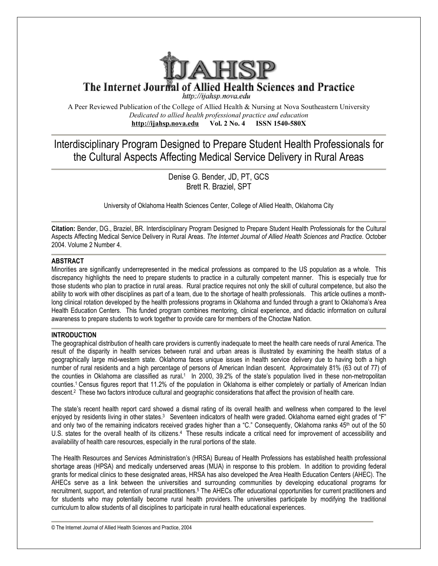

The Internet Journal of Allied Health Sciences and Practice

http://ijahsp.nova.edu

A Peer Reviewed Publication of the College of Allied Health & Nursing at Nova Southeastern University *Dedicated to allied health professional practice and education* **<http://ijahsp.nova.edu> Vol. 2 No. 4 ISSN 1540-580X** 

# Interdisciplinary Program Designed to Prepare Student Health Professionals for the Cultural Aspects Affecting Medical Service Delivery in Rural Areas

Denise G. Bender, JD, PT, GCS Brett R. Braziel, SPT

University of Oklahoma Health Sciences Center, College of Allied Health, Oklahoma City

**Citation:** Bender, DG., Braziel, BR. Interdisciplinary Program Designed to Prepare Student Health Professionals for the Cultural Aspects Affecting Medical Service Delivery in Rural Areas. *The Internet Journal of Allied Health Sciences and Practice*. October 2004. Volume 2 Number 4.

# **ABSTRACT**

Minorities are significantly underrepresented in the medical professions as compared to the US population as a whole. This discrepancy highlights the need to prepare students to practice in a culturally competent manner. This is especially true for those students who plan to practice in rural areas. Rural practice requires not only the skill of cultural competence, but also the ability to work with other disciplines as part of a team, due to the shortage of health professionals. This article outlines a monthlong clinical rotation developed by the health professions programs in Oklahoma and funded through a grant to Oklahoma's Area Health Education Centers. This funded program combines mentoring, clinical experience, and didactic information on cultural awareness to prepare students to work together to provide care for members of the Choctaw Nation.

# **INTRODUCTION**

The geographical distribution of health care providers is currently inadequate to meet the health care needs of rural America. The result of the disparity in health services between rural and urban areas is illustrated by examining the health status of a geographically large mid-western state. Oklahoma faces unique issues in health service delivery due to having both a high number of rural residents and a high percentage of persons of American Indian descent. Approximately 81% (63 out of 77) of the counties in Oklahoma are classified as rural**.** 1 In 2000, 39.2% of the state's population lived in these non-metropolitan counties.<sup>1</sup> Census figures report that 11.2% of the population in Oklahoma is either completely or partially of American Indian descent.<sup>2</sup> These two factors introduce cultural and geographic considerations that affect the provision of health care.

The state's recent health report card showed a dismal rating of its overall health and wellness when compared to the level enjoyed by residents living in other states.<sup>3</sup> Seventeen indicators of health were graded. Oklahoma earned eight grades of "F" and only two of the remaining indicators received grades higher than a "C." Consequently, Oklahoma ranks 45<sup>th</sup> out of the 50 U.S. states for the overall health of its citizens.<sup>4</sup> These results indicate a critical need for improvement of accessibility and availability of health care resources, especially in the rural portions of the state.

The Health Resources and Services Administration's (HRSA) Bureau of Health Professions has established health professional shortage areas (HPSA) and medically underserved areas (MUA) in response to this problem. In addition to providing federal grants for medical clinics to these designated areas, HRSA has also developed the Area Health Education Centers (AHEC). The AHECs serve as a link between the universities and surrounding communities by developing educational programs for recruitment, support, and retention of rural practitioners.<sup>5</sup> The AHECs offer educational opportunities for current practitioners and for students who may potentially become rural health providers. The universities participate by modifying the traditional curriculum to allow students of all disciplines to participate in rural health educational experiences.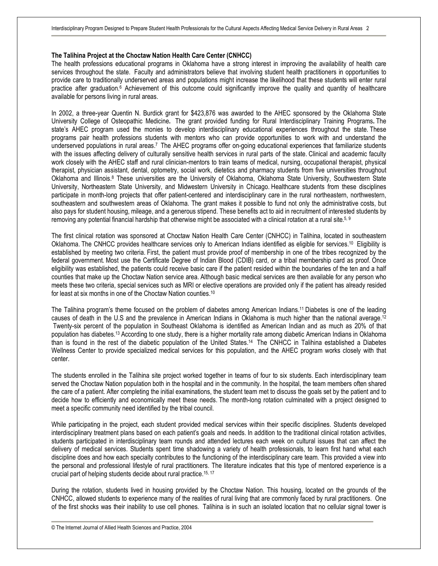#### **The Talihina Project at the Choctaw Nation Health Care Center (CNHCC)**

The health professions educational programs in Oklahoma have a strong interest in improving the availability of health care services throughout the state. Faculty and administrators believe that involving student health practitioners in opportunities to provide care to traditionally underserved areas and populations might increase the likelihood that these students will enter rural practice after graduation.<sup>6</sup> Achievement of this outcome could significantly improve the quality and quantity of healthcare available for persons living in rural areas.

In 2002, a three-year Quentin N. Burdick grant for \$423,876 was awarded to the AHEC sponsored by the Oklahoma State University College of Osteopathic Medicine**.** The grant provided funding for Rural Interdisciplinary Training Programs**.** The state's AHEC program used the monies to develop interdisciplinary educational experiences throughout the state. These programs pair health professions students with mentors who can provide opportunities to work with and understand the underserved populations in rural areas.<sup>7</sup> The AHEC programs offer on-going educational experiences that familiarize students with the issues affecting delivery of culturally sensitive health services in rural parts of the state. Clinical and academic faculty work closely with the AHEC staff and rural clinician-mentors to train teams of medical, nursing, occupational therapist, physical therapist, physician assistant, dental, optometry, social work, dietetics and pharmacy students from five universities throughout Oklahoma and Illinois.<sup>8</sup> These universities are the University of Oklahoma, Oklahoma State University, Southwestern State University, Northeastern State University, and Midwestern University in Chicago. Healthcare students from these disciplines participate in month-long projects that offer patient-centered and interdisciplinary care in the rural northeastern, northwestern, southeastern and southwestern areas of Oklahoma. The grant makes it possible to fund not only the administrative costs, but also pays for student housing, mileage, and a generous stipend. These benefits act to aid in recruitment of interested students by removing any potential financial hardship that otherwise might be associated with a clinical rotation at a rural site.<sup>5, 9</sup>

The first clinical rotation was sponsored at Choctaw Nation Health Care Center (CNHCC) in Talihina, located in southeastern Oklahoma. The CNHCC provides healthcare services only to American Indians identified as eligible for services.<sup>10</sup> Eligibility is established by meeting two criteria. First, the patient must provide proof of membership in one of the tribes recognized by the federal government. Most use the Certificate Degree of Indian Blood (CDIB) card, or a tribal membership card as proof. Once eligibility was established, the patients could receive basic care if the patient resided within the boundaries of the ten and a half counties that make up the Choctaw Nation service area. Although basic medical services are then available for any person who meets these two criteria, special services such as MRI or elective operations are provided only if the patient has already resided for least at six months in one of the Choctaw Nation counties.<sup>10</sup>

The Talihina program's theme focused on the problem of diabetes among American Indians.<sup>11</sup> Diabetes is one of the leading causes of death in the U.S and the prevalence in American Indians in Oklahoma is much higher than the national average.<sup>12</sup> Twenty-six percent of the population in Southeast Oklahoma is identified as American Indian and as much as 20% of that population has diabetes.<sup>13</sup> According to one study, there is a higher mortality rate among diabetic American Indians in Oklahoma than is found in the rest of the diabetic population of the United States.<sup>14</sup> The CNHCC in Talihina established a Diabetes Wellness Center to provide specialized medical services for this population, and the AHEC program works closely with that center.

The students enrolled in the Talihina site project worked together in teams of four to six students. Each interdisciplinary team served the Choctaw Nation population both in the hospital and in the community. In the hospital, the team members often shared the care of a patient. After completing the initial examinations, the student team met to discuss the goals set by the patient and to decide how to efficiently and economically meet these needs. The month-long rotation culminated with a project designed to meet a specific community need identified by the tribal council.

While participating in the project, each student provided medical services within their specific disciplines. Students developed interdisciplinary treatment plans based on each patient's goals and needs. In addition to the traditional clinical rotation activities, students participated in interdisciplinary team rounds and attended lectures each week on cultural issues that can affect the delivery of medical services. Students spent time shadowing a variety of health professionals, to learn first hand what each discipline does and how each specialty contributes to the functioning of the interdisciplinary care team. This provided a view into the personal and professional lifestyle of rural practitioners. The literature indicates that this type of mentored experience is a crucial part of helping students decide about rural practice.15, <sup>17</sup>

During the rotation, students lived in housing provided by the Choctaw Nation. This housing, located on the grounds of the CNHCC, allowed students to experience many of the realities of rural living that are commonly faced by rural practitioners. One of the first shocks was their inability to use cell phones. Talihina is in such an isolated location that no cellular signal tower is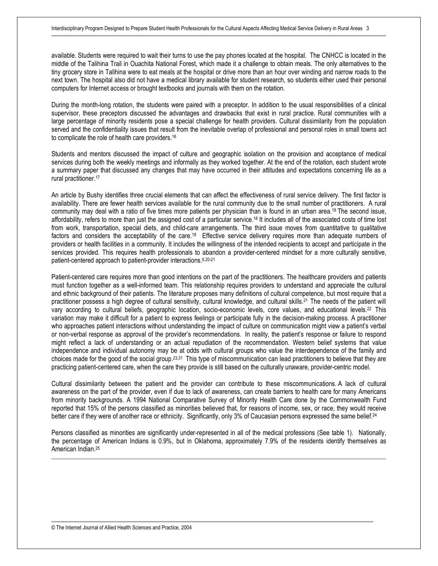available. Students were required to wait their turns to use the pay phones located at the hospital. The CNHCC is located in the middle of the Talihina Trail in Ouachita National Forest, which made it a challenge to obtain meals. The only alternatives to the tiny grocery store in Talihina were to eat meals at the hospital or drive more than an hour over winding and narrow roads to the next town. The hospital also did not have a medical library available for student research, so students either used their personal computers for Internet access or brought textbooks and journals with them on the rotation.

During the month-long rotation, the students were paired with a preceptor. In addition to the usual responsibilities of a clinical supervisor, these preceptors discussed the advantages and drawbacks that exist in rural practice. Rural communities with a large percentage of minority residents pose a special challenge for health providers. Cultural dissimilarity from the population served and the confidentiality issues that result from the inevitable overlap of professional and personal roles in small towns act to complicate the role of health care providers.<sup>16</sup>

Students and mentors discussed the impact of culture and geographic isolation on the provision and acceptance of medical services during both the weekly meetings and informally as they worked together. At the end of the rotation, each student wrote a summary paper that discussed any changes that may have occurred in their attitudes and expectations concerning life as a rural practitioner.<sup>17</sup>

An article by Bushy identifies three crucial elements that can affect the effectiveness of rural service delivery. The first factor is availability. There are fewer health services available for the rural community due to the small number of practitioners. A rural community may deal with a ratio of five times more patients per physician than is found in an urban area.<sup>19</sup> The second issue, affordability, refers to more than just the assigned cost of a particular service.18 It includes all of the associated costs of time lost from work, transportation, special diets, and child-care arrangements. The third issue moves from quantitative to qualitative factors and considers the acceptability of the care.<sup>18</sup> Effective service delivery requires more than adequate numbers of providers or health facilities in a community. It includes the willingness of the intended recipients to accept and participate in the services provided. This requires health professionals to abandon a provider-centered mindset for a more culturally sensitive, patient-centered approach to patient-provider interactions.9,20-21

Patient-centered care requires more than good intentions on the part of the practitioners. The healthcare providers and patients must function together as a well-informed team. This relationship requires providers to understand and appreciate the cultural and ethnic background of their patients. The literature proposes many definitions of cultural competence, but most require that a practitioner possess a high degree of cultural sensitivity, cultural knowledge, and cultural skills.21 The needs of the patient will vary according to cultural beliefs, geographic location, socio-economic levels, core values, and educational levels.<sup>22</sup> This variation may make it difficult for a patient to express feelings or participate fully in the decision-making process. A practitioner who approaches patient interactions without understanding the impact of culture on communication might view a patient's verbal or non-verbal response as approval of the provider's recommendations. In reality, the patient's response or failure to respond might reflect a lack of understanding or an actual repudiation of the recommendation. Western belief systems that value independence and individual autonomy may be at odds with cultural groups who value the interdependence of the family and choices made for the good of the social group.<sup>23,31</sup> This type of miscommunication can lead practitioners to believe that they are practicing patient-centered care, when the care they provide is still based on the culturally unaware, provider-centric model.

Cultural dissimilarity between the patient and the provider can contribute to these miscommunications. A lack of cultural awareness on the part of the provider, even if due to lack of awareness, can create barriers to health care for many Americans from minority backgrounds. A 1994 National Comparative Survey of Minority Health Care done by the Commonwealth Fund reported that 15% of the persons classified as minorities believed that, for reasons of income, sex, or race, they would receive better care if they were of another race or ethnicity. Significantly, only 3% of Caucasian persons expressed the same belief.<sup>24</sup>

Persons classified as minorities are significantly under-represented in all of the medical professions (See table 1). Nationally, the percentage of American Indians is 0.9%, but in Oklahoma, approximately 7.9% of the residents identify themselves as American Indian.25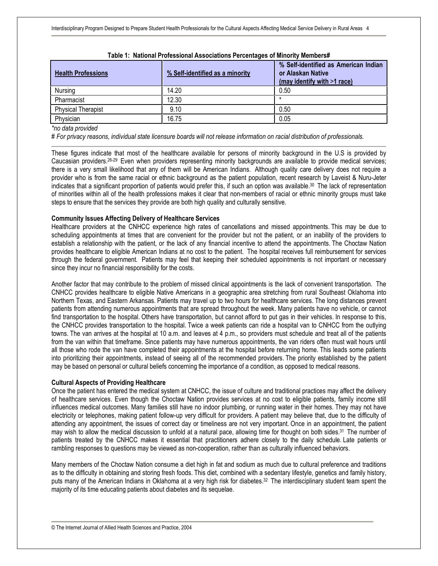| <b>Health Professions</b> | % Self-identified as a minority | % Self-identified as American Indian<br>or Alaskan Native<br>(may identify with >1 race) |
|---------------------------|---------------------------------|------------------------------------------------------------------------------------------|
| Nursing                   | 14.20                           | 0.50                                                                                     |
| Pharmacist                | 12.30                           |                                                                                          |
| <b>Physical Therapist</b> | 9.10                            | 0.50                                                                                     |
| Physician                 | 16.75                           | 0.05                                                                                     |

| Table 1: National Professional Associations Percentages of Minority Members# |  |  |  |  |  |  |
|------------------------------------------------------------------------------|--|--|--|--|--|--|
|------------------------------------------------------------------------------|--|--|--|--|--|--|

*\*no data provided*

*# For privacy reasons, individual state licensure boards will not release information on racial distribution of professionals.*

These figures indicate that most of the healthcare available for persons of minority background in the U.S is provided by Caucasian providers.26-29 Even when providers representing minority backgrounds are available to provide medical services; there is a very small likelihood that any of them will be American Indians. Although quality care delivery does not require a provider who is from the same racial or ethnic background as the patient population, recent research by Laveist & Nuru-Jeter indicates that a significant proportion of patients would prefer this, if such an option was available.<sup>30</sup> The lack of representation of minorities within all of the health professions makes it clear that non-members of racial or ethnic minority groups must take steps to ensure that the services they provide are both high quality and culturally sensitive.

### **Community Issues Affecting Delivery of Healthcare Services**

Healthcare providers at the CNHCC experience high rates of cancellations and missed appointments. This may be due to scheduling appointments at times that are convenient for the provider but not the patient, or an inability of the providers to establish a relationship with the patient, or the lack of any financial incentive to attend the appointments. The Choctaw Nation provides healthcare to eligible American Indians at no cost to the patient. The hospital receives full reimbursement for services through the federal government. Patients may feel that keeping their scheduled appointments is not important or necessary since they incur no financial responsibility for the costs.

Another factor that may contribute to the problem of missed clinical appointments is the lack of convenient transportation. The CNHCC provides healthcare to eligible Native Americans in a geographic area stretching from rural Southeast Oklahoma into Northern Texas, and Eastern Arkansas. Patients may travel up to two hours for healthcare services. The long distances prevent patients from attending numerous appointments that are spread throughout the week. Many patients have no vehicle, or cannot find transportation to the hospital. Others have transportation, but cannot afford to put gas in their vehicles. In response to this, the CNHCC provides transportation to the hospital. Twice a week patients can ride a hospital van to CNHCC from the outlying towns. The van arrives at the hospital at 10 a.m. and leaves at 4 p.m., so providers must schedule and treat all of the patients from the van within that timeframe. Since patients may have numerous appointments, the van riders often must wait hours until all those who rode the van have completed their appointments at the hospital before returning home. This leads some patients into prioritizing their appointments, instead of seeing all of the recommended providers. The priority established by the patient may be based on personal or cultural beliefs concerning the importance of a condition, as opposed to medical reasons.

# **Cultural Aspects of Providing Healthcare**

Once the patient has entered the medical system at CNHCC, the issue of culture and traditional practices may affect the delivery of healthcare services. Even though the Choctaw Nation provides services at no cost to eligible patients, family income still influences medical outcomes. Many families still have no indoor plumbing, or running water in their homes. They may not have electricity or telephones, making patient follow-up very difficult for providers. A patient may believe that, due to the difficulty of attending any appointment, the issues of correct day or timeliness are not very important. Once in an appointment, the patient may wish to allow the medical discussion to unfold at a natural pace, allowing time for thought on both sides.<sup>31</sup> The number of patients treated by the CNHCC makes it essential that practitioners adhere closely to the daily schedule. Late patients or rambling responses to questions may be viewed as non-cooperation, rather than as culturally influenced behaviors.

Many members of the Choctaw Nation consume a diet high in fat and sodium as much due to cultural preference and traditions as to the difficulty in obtaining and storing fresh foods. This diet, combined with a sedentary lifestyle, genetics and family history, puts many of the American Indians in Oklahoma at a very high risk for diabetes.<sup>32</sup> The interdisciplinary student team spent the majority of its time educating patients about diabetes and its sequelae.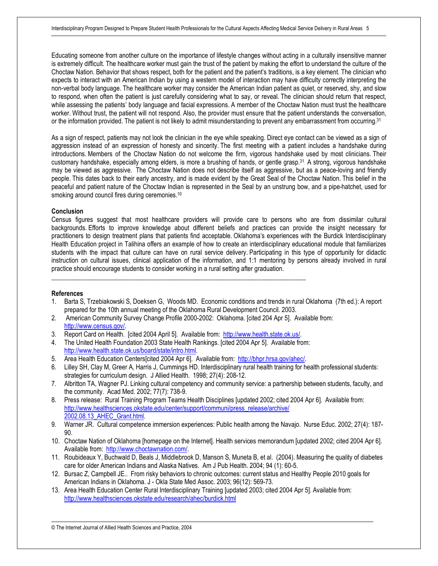Educating someone from another culture on the importance of lifestyle changes without acting in a culturally insensitive manner is extremely difficult. The healthcare worker must gain the trust of the patient by making the effort to understand the culture of the Choctaw Nation. Behavior that shows respect, both for the patient and the patient's traditions, is a key element. The clinician who expects to interact with an American Indian by using a western model of interaction may have difficulty correctly interpreting the non-verbal body language. The healthcare worker may consider the American Indian patient as quiet, or reserved, shy, and slow to respond, when often the patient is just carefully considering what to say, or reveal. The clinician should return that respect, while assessing the patients' body language and facial expressions. A member of the Choctaw Nation must trust the healthcare worker. Without trust, the patient will not respond. Also, the provider must ensure that the patient understands the conversation, or the information provided. The patient is not likely to admit misunderstanding to prevent any embarrassment from occurring.<sup>31</sup>

As a sign of respect, patients may not look the clinician in the eye while speaking. Direct eye contact can be viewed as a sign of aggression instead of an expression of honesty and sincerity. The first meeting with a patient includes a handshake during introductions. Members of the Choctaw Nation do not welcome the firm, vigorous handshake used by most clinicians. Their customary handshake, especially among elders, is more a brushing of hands, or gentle grasp.31 A strong, vigorous handshake may be viewed as aggressive. The Choctaw Nation does not describe itself as aggressive, but as a peace-loving and friendly people. This dates back to their early ancestry, and is made evident by the Great Seal of the Choctaw Nation. This belief in the peaceful and patient nature of the Choctaw Indian is represented in the Seal by an unstrung bow, and a pipe-hatchet, used for smoking around council fires during ceremonies.<sup>10</sup>

#### **Conclusion**

Census figures suggest that most healthcare providers will provide care to persons who are from dissimilar cultural backgrounds. Efforts to improve knowledge about different beliefs and practices can provide the insight necessary for practitioners to design treatment plans that patients find acceptable. Oklahoma's experiences with the Burdick Interdisciplinary Health Education project in Talihina offers an example of how to create an interdisciplinary educational module that familiarizes students with the impact that culture can have on rural service delivery. Participating in this type of opportunity for didactic instruction on cultural issues, clinical application of the information, and 1:1 mentoring by persons already involved in rural practice should encourage students to consider working in a rural setting after graduation.

#### **References**

- 1. Barta S, Trzebiakowski S, Doeksen G, Woods MD. Economic conditions and trends in rural Oklahoma (7th ed.): A report prepared for the 10th annual meeting of the Oklahoma Rural Development Council. 2003.
- 2. American Community Survey Change Profile 2000-2002: Oklahoma. [cited 204 Apr 5]. Available from: <http://www.census.gov/>.
- 3. Report Card on Health. [cited 2004 April 5]. Available from: [http://www.health.state.ok.us/.](http://www.health.state.ok.us/)

\_\_\_\_\_\_\_\_\_\_\_\_\_\_\_\_\_\_\_\_\_\_\_\_\_\_\_\_\_\_\_\_\_\_\_\_\_\_\_\_\_\_\_\_\_\_\_\_\_\_\_\_\_\_\_\_\_\_\_\_\_\_\_\_\_\_\_\_\_\_\_\_\_\_\_\_\_\_

- 4. The United Health Foundation 2003 State Health Rankings. [cited 2004 Apr 5]. Available from: <http://www.health.state.ok.us/board/state/intro.html>.
- 5. Area Health Education Centers [cited 2004 Apr 6]. Available from: <http://bhpr.hrsa.gov/ahec/>.
- 6. Lilley SH, Clay M, Greer A, Harris J, Cummings HD. Interdisciplinary rural health training for health professional students: strategies for curriculum design. J Allied Health. 1998; 27(4): 208-12.
- 7. Albritton TA, Wagner PJ. Linking cultural competency and community service: a partnership between students, faculty, and the community. Acad Med. 2002; 77(7): 738-9.
- 8. Press release: Rural Training Program Teams Health Disciplines [updated 2002; cited 2004 Apr 6]. Available from: [http://www.healthsciences.okstate.edu/center/support/communi/press\\_release/archive/](http://www.healthsciences.okstate.edu/center/support/communi/press_release/archive/) 2002.08.13\_AHEC\_Grant.html.
- 9. Warner JR. Cultural competence immersion experiences: Public health among the Navajo. Nurse Educ. 2002; 27(4): 187- 90.
- 10. Choctaw Nation of Oklahoma [homepage on the Internet]. Health services memorandum [updated 2002; cited 2004 Apr 6]. Available from: <http://www.choctawnation.com/>.
- 11. Roubideaux Y, Buchwald D, Beals J, Middlebrook D, Manson S, Muneta B, et al. (2004). Measuring the quality of diabetes care for older American Indians and Alaska Natives. Am J Pub Health. 2004; 94 (1): 60-5.
- 12. Bursac Z, Campbell JE.. From risky behaviors to chronic outcomes: current status and Healthy People 2010 goals for American Indians in Oklahoma. J - Okla State Med Assoc. 2003; 96(12): 569-73.
- 13. Area Health Education Center Rural Interdisciplinary Training [updated 2003; cited 2004 Apr 5]. Available from: <http://www.healthsciences.okstate.edu/research/ahec/burdick.html>

<sup>©</sup> The Internet Journal of Allied Health Sciences and Practice, 2004